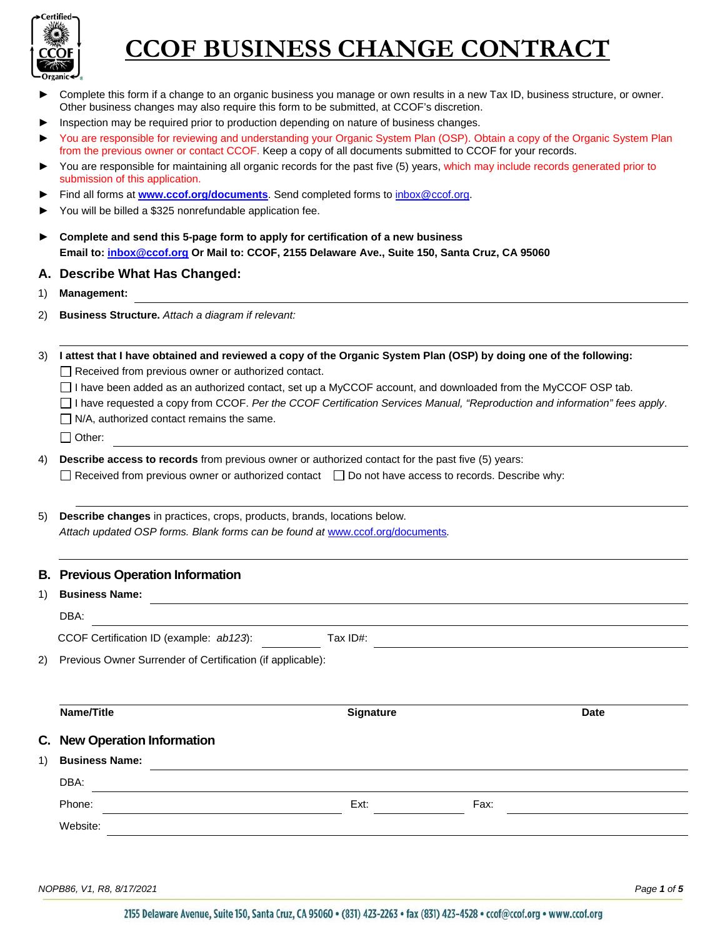

| ▶  | Complete this form if a change to an organic business you manage or own results in a new Tax ID, business structure, or owner.<br>Other business changes may also require this form to be submitted, at CCOF's discretion.                |                                                            |      |             |  |  |
|----|-------------------------------------------------------------------------------------------------------------------------------------------------------------------------------------------------------------------------------------------|------------------------------------------------------------|------|-------------|--|--|
| ▶  | Inspection may be required prior to production depending on nature of business changes.                                                                                                                                                   |                                                            |      |             |  |  |
|    | You are responsible for reviewing and understanding your Organic System Plan (OSP). Obtain a copy of the Organic System Plan<br>from the previous owner or contact CCOF. Keep a copy of all documents submitted to CCOF for your records. |                                                            |      |             |  |  |
| ▶  | You are responsible for maintaining all organic records for the past five (5) years, which may include records generated prior to<br>submission of this application.                                                                      |                                                            |      |             |  |  |
| ▶  | Find all forms at <b>www.ccof.org/documents</b> . Send completed forms to inbox@ccof.org.                                                                                                                                                 |                                                            |      |             |  |  |
| ▶  | You will be billed a \$325 nonrefundable application fee.                                                                                                                                                                                 |                                                            |      |             |  |  |
| ▶  | Complete and send this 5-page form to apply for certification of a new business                                                                                                                                                           |                                                            |      |             |  |  |
|    | Email to: inbox@ccof.org Or Mail to: CCOF, 2155 Delaware Ave., Suite 150, Santa Cruz, CA 95060                                                                                                                                            |                                                            |      |             |  |  |
| Α. | <b>Describe What Has Changed:</b>                                                                                                                                                                                                         |                                                            |      |             |  |  |
| 1) | <b>Management:</b>                                                                                                                                                                                                                        |                                                            |      |             |  |  |
| 2) | <b>Business Structure.</b> Attach a diagram if relevant:                                                                                                                                                                                  |                                                            |      |             |  |  |
|    |                                                                                                                                                                                                                                           |                                                            |      |             |  |  |
| 3) | I attest that I have obtained and reviewed a copy of the Organic System Plan (OSP) by doing one of the following:                                                                                                                         |                                                            |      |             |  |  |
|    |                                                                                                                                                                                                                                           | $\Box$ Received from previous owner or authorized contact. |      |             |  |  |
|    | □ I have been added as an authorized contact, set up a MyCCOF account, and downloaded from the MyCCOF OSP tab.                                                                                                                            |                                                            |      |             |  |  |
|    | □ I have requested a copy from CCOF. Per the CCOF Certification Services Manual, "Reproduction and information" fees apply.<br>$\Box$ N/A, authorized contact remains the same.                                                           |                                                            |      |             |  |  |
|    | $\Box$ Other:                                                                                                                                                                                                                             |                                                            |      |             |  |  |
| 4) | <b>Describe access to records</b> from previous owner or authorized contact for the past five (5) years:                                                                                                                                  |                                                            |      |             |  |  |
|    | □ Received from previous owner or authorized contact □ Do not have access to records. Describe why:                                                                                                                                       |                                                            |      |             |  |  |
|    |                                                                                                                                                                                                                                           |                                                            |      |             |  |  |
| 5) | Describe changes in practices, crops, products, brands, locations below.                                                                                                                                                                  |                                                            |      |             |  |  |
|    | Attach updated OSP forms. Blank forms can be found at www.ccof.org/documents.                                                                                                                                                             |                                                            |      |             |  |  |
|    |                                                                                                                                                                                                                                           |                                                            |      |             |  |  |
|    | <b>B. Previous Operation Information</b>                                                                                                                                                                                                  |                                                            |      |             |  |  |
| 1) | <b>Business Name:</b>                                                                                                                                                                                                                     |                                                            |      |             |  |  |
|    | DBA:                                                                                                                                                                                                                                      |                                                            |      |             |  |  |
|    | CCOF Certification ID (example: ab123):                                                                                                                                                                                                   | Tax ID#:                                                   |      |             |  |  |
| 2) | Previous Owner Surrender of Certification (if applicable):                                                                                                                                                                                |                                                            |      |             |  |  |
|    |                                                                                                                                                                                                                                           |                                                            |      |             |  |  |
|    |                                                                                                                                                                                                                                           |                                                            |      |             |  |  |
|    | Name/Title                                                                                                                                                                                                                                | <b>Signature</b>                                           |      | <b>Date</b> |  |  |
| C. | <b>New Operation Information</b>                                                                                                                                                                                                          |                                                            |      |             |  |  |
| 1) | <b>Business Name:</b>                                                                                                                                                                                                                     |                                                            |      |             |  |  |
|    | DBA:<br><u> 1989 - Jan Barnett, fransk politiker (d. 1989)</u>                                                                                                                                                                            |                                                            |      |             |  |  |
|    | Phone:                                                                                                                                                                                                                                    | Ext:                                                       | Fax: |             |  |  |
|    | Website:                                                                                                                                                                                                                                  |                                                            |      |             |  |  |
|    |                                                                                                                                                                                                                                           |                                                            |      |             |  |  |

*NOPB86, V1, R8, 8/17/2021 Page 1 of 5*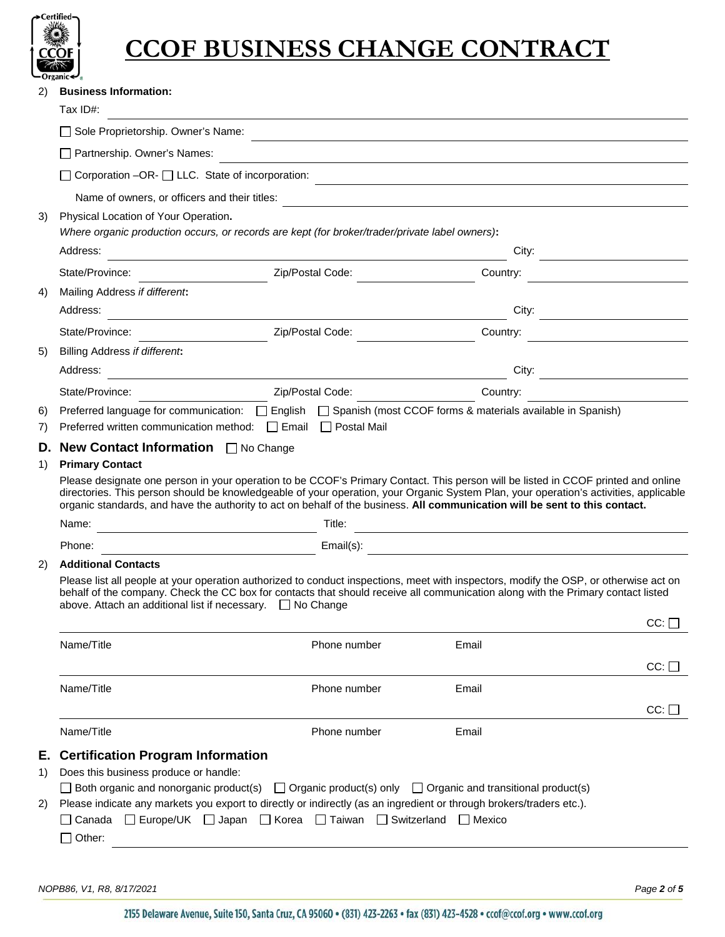

| Tax ID#:<br>Sole Proprietorship. Owner's Name:<br>Partnership. Owner's Names:<br>$\Box$ Corporation -OR- $\Box$ LLC. State of incorporation:<br>Name of owners, or officers and their titles:                                                                                                                                                |                                  |                                                                                                                                                                                                                                                                |                                                                                                                                                                                                                                                                                                                                                                                                                                                                                                                                                                                                                                                                                                                                                                                                                                                                                                                                                                                                                   |  |
|----------------------------------------------------------------------------------------------------------------------------------------------------------------------------------------------------------------------------------------------------------------------------------------------------------------------------------------------|----------------------------------|----------------------------------------------------------------------------------------------------------------------------------------------------------------------------------------------------------------------------------------------------------------|-------------------------------------------------------------------------------------------------------------------------------------------------------------------------------------------------------------------------------------------------------------------------------------------------------------------------------------------------------------------------------------------------------------------------------------------------------------------------------------------------------------------------------------------------------------------------------------------------------------------------------------------------------------------------------------------------------------------------------------------------------------------------------------------------------------------------------------------------------------------------------------------------------------------------------------------------------------------------------------------------------------------|--|
|                                                                                                                                                                                                                                                                                                                                              |                                  |                                                                                                                                                                                                                                                                |                                                                                                                                                                                                                                                                                                                                                                                                                                                                                                                                                                                                                                                                                                                                                                                                                                                                                                                                                                                                                   |  |
|                                                                                                                                                                                                                                                                                                                                              |                                  |                                                                                                                                                                                                                                                                |                                                                                                                                                                                                                                                                                                                                                                                                                                                                                                                                                                                                                                                                                                                                                                                                                                                                                                                                                                                                                   |  |
|                                                                                                                                                                                                                                                                                                                                              |                                  |                                                                                                                                                                                                                                                                |                                                                                                                                                                                                                                                                                                                                                                                                                                                                                                                                                                                                                                                                                                                                                                                                                                                                                                                                                                                                                   |  |
|                                                                                                                                                                                                                                                                                                                                              |                                  |                                                                                                                                                                                                                                                                |                                                                                                                                                                                                                                                                                                                                                                                                                                                                                                                                                                                                                                                                                                                                                                                                                                                                                                                                                                                                                   |  |
|                                                                                                                                                                                                                                                                                                                                              |                                  |                                                                                                                                                                                                                                                                |                                                                                                                                                                                                                                                                                                                                                                                                                                                                                                                                                                                                                                                                                                                                                                                                                                                                                                                                                                                                                   |  |
| Physical Location of Your Operation.<br>Where organic production occurs, or records are kept (for broker/trader/private label owners):<br>Address:                                                                                                                                                                                           |                                  | City:                                                                                                                                                                                                                                                          |                                                                                                                                                                                                                                                                                                                                                                                                                                                                                                                                                                                                                                                                                                                                                                                                                                                                                                                                                                                                                   |  |
| State/Province:                                                                                                                                                                                                                                                                                                                              | Zip/Postal Code:                 | Country:                                                                                                                                                                                                                                                       |                                                                                                                                                                                                                                                                                                                                                                                                                                                                                                                                                                                                                                                                                                                                                                                                                                                                                                                                                                                                                   |  |
| Mailing Address if different:<br>Address:                                                                                                                                                                                                                                                                                                    |                                  | City:                                                                                                                                                                                                                                                          |                                                                                                                                                                                                                                                                                                                                                                                                                                                                                                                                                                                                                                                                                                                                                                                                                                                                                                                                                                                                                   |  |
| State/Province:                                                                                                                                                                                                                                                                                                                              | Zip/Postal Code:                 | Country:                                                                                                                                                                                                                                                       |                                                                                                                                                                                                                                                                                                                                                                                                                                                                                                                                                                                                                                                                                                                                                                                                                                                                                                                                                                                                                   |  |
| Billing Address if different:                                                                                                                                                                                                                                                                                                                |                                  |                                                                                                                                                                                                                                                                |                                                                                                                                                                                                                                                                                                                                                                                                                                                                                                                                                                                                                                                                                                                                                                                                                                                                                                                                                                                                                   |  |
| Address:                                                                                                                                                                                                                                                                                                                                     |                                  | City:                                                                                                                                                                                                                                                          |                                                                                                                                                                                                                                                                                                                                                                                                                                                                                                                                                                                                                                                                                                                                                                                                                                                                                                                                                                                                                   |  |
| State/Province:                                                                                                                                                                                                                                                                                                                              | Zip/Postal Code:                 | Country:                                                                                                                                                                                                                                                       |                                                                                                                                                                                                                                                                                                                                                                                                                                                                                                                                                                                                                                                                                                                                                                                                                                                                                                                                                                                                                   |  |
|                                                                                                                                                                                                                                                                                                                                              |                                  |                                                                                                                                                                                                                                                                |                                                                                                                                                                                                                                                                                                                                                                                                                                                                                                                                                                                                                                                                                                                                                                                                                                                                                                                                                                                                                   |  |
|                                                                                                                                                                                                                                                                                                                                              |                                  |                                                                                                                                                                                                                                                                |                                                                                                                                                                                                                                                                                                                                                                                                                                                                                                                                                                                                                                                                                                                                                                                                                                                                                                                                                                                                                   |  |
| Name:                                                                                                                                                                                                                                                                                                                                        | Title:                           |                                                                                                                                                                                                                                                                |                                                                                                                                                                                                                                                                                                                                                                                                                                                                                                                                                                                                                                                                                                                                                                                                                                                                                                                                                                                                                   |  |
|                                                                                                                                                                                                                                                                                                                                              |                                  |                                                                                                                                                                                                                                                                |                                                                                                                                                                                                                                                                                                                                                                                                                                                                                                                                                                                                                                                                                                                                                                                                                                                                                                                                                                                                                   |  |
| <b>Additional Contacts</b>                                                                                                                                                                                                                                                                                                                   |                                  |                                                                                                                                                                                                                                                                |                                                                                                                                                                                                                                                                                                                                                                                                                                                                                                                                                                                                                                                                                                                                                                                                                                                                                                                                                                                                                   |  |
| Please list all people at your operation authorized to conduct inspections, meet with inspectors, modify the OSP, or otherwise act on<br>behalf of the company. Check the CC box for contacts that should receive all communication along with the Primary contact listed<br>above. Attach an additional list if necessary. $\Box$ No Change |                                  |                                                                                                                                                                                                                                                                |                                                                                                                                                                                                                                                                                                                                                                                                                                                                                                                                                                                                                                                                                                                                                                                                                                                                                                                                                                                                                   |  |
|                                                                                                                                                                                                                                                                                                                                              |                                  |                                                                                                                                                                                                                                                                | $CC:$ $\Box$                                                                                                                                                                                                                                                                                                                                                                                                                                                                                                                                                                                                                                                                                                                                                                                                                                                                                                                                                                                                      |  |
| Name/Title                                                                                                                                                                                                                                                                                                                                   | Phone number                     | Email                                                                                                                                                                                                                                                          |                                                                                                                                                                                                                                                                                                                                                                                                                                                                                                                                                                                                                                                                                                                                                                                                                                                                                                                                                                                                                   |  |
|                                                                                                                                                                                                                                                                                                                                              |                                  |                                                                                                                                                                                                                                                                | $CC:$ $\Box$                                                                                                                                                                                                                                                                                                                                                                                                                                                                                                                                                                                                                                                                                                                                                                                                                                                                                                                                                                                                      |  |
| Name/Title                                                                                                                                                                                                                                                                                                                                   | Phone number                     | Email                                                                                                                                                                                                                                                          |                                                                                                                                                                                                                                                                                                                                                                                                                                                                                                                                                                                                                                                                                                                                                                                                                                                                                                                                                                                                                   |  |
|                                                                                                                                                                                                                                                                                                                                              |                                  |                                                                                                                                                                                                                                                                | $CC:$ $\Box$                                                                                                                                                                                                                                                                                                                                                                                                                                                                                                                                                                                                                                                                                                                                                                                                                                                                                                                                                                                                      |  |
| Name/Title                                                                                                                                                                                                                                                                                                                                   | Phone number                     | Email                                                                                                                                                                                                                                                          |                                                                                                                                                                                                                                                                                                                                                                                                                                                                                                                                                                                                                                                                                                                                                                                                                                                                                                                                                                                                                   |  |
| Does this business produce or handle:<br>∐ Canada<br>$\Box$ Other:                                                                                                                                                                                                                                                                           | $\Box$ Korea<br>$\Box$ Taiwan    | □ Mexico                                                                                                                                                                                                                                                       |                                                                                                                                                                                                                                                                                                                                                                                                                                                                                                                                                                                                                                                                                                                                                                                                                                                                                                                                                                                                                   |  |
|                                                                                                                                                                                                                                                                                                                                              | <b>Primary Contact</b><br>Phone: | Preferred written communication method: □ Email □ Postal Mail<br><b>D. New Contact Information</b> $\Box$ No Change<br>Email(s):<br><b>Certification Program Information</b><br>$\Box$ Both organic and nonorganic product(s)<br>$\Box$ Europe/UK $\Box$ Japan | Preferred language for communication: $\Box$ English $\Box$ Spanish (most CCOF forms & materials available in Spanish)<br>Please designate one person in your operation to be CCOF's Primary Contact. This person will be listed in CCOF printed and online<br>directories. This person should be knowledgeable of your operation, your Organic System Plan, your operation's activities, applicable<br>organic standards, and have the authority to act on behalf of the business. All communication will be sent to this contact.<br><u> 1989 - Johann Barn, mars ann an t-Amhain Aonaich an t-Aonaich an t-Aonaich an t-Aonaich an t-Aonaich ann an t-</u><br><u> 1989 - Johann Harry Harry Harry Harry Harry Harry Harry Harry Harry Harry Harry Harry Harry Harry Harry Harry</u><br>$\Box$ Organic product(s) only $\Box$ Organic and transitional product(s)<br>Please indicate any markets you export to directly or indirectly (as an ingredient or through brokers/traders etc.).<br>$\Box$ Switzerland |  |

*NOPB86, V1, R8, 8/17/2021 Page 2 of 5*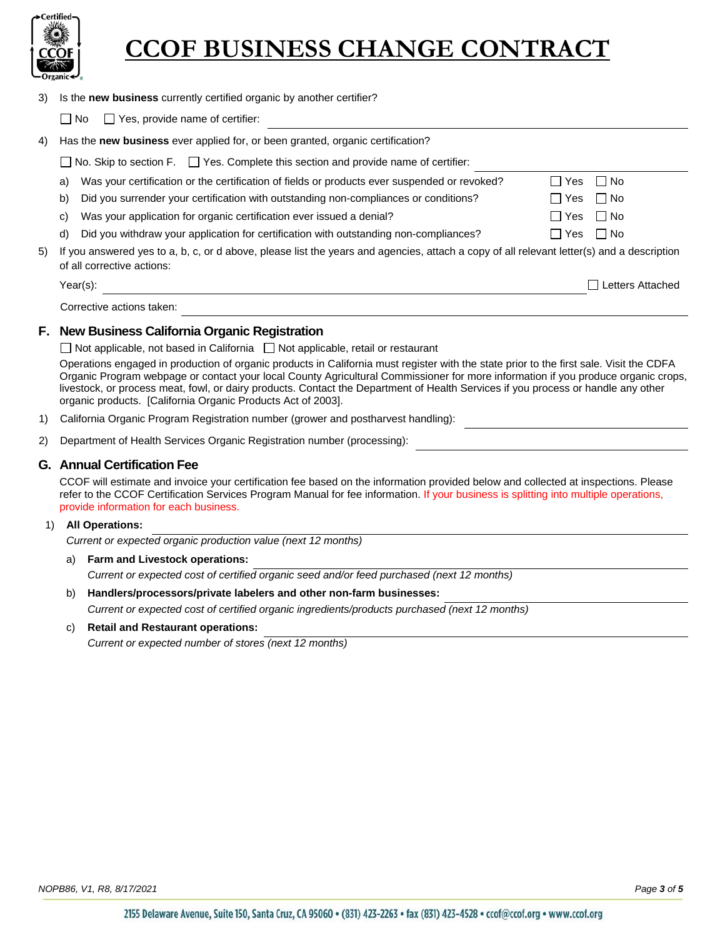

|  | 3) Is the new business currently certified organic by another certifier? |  |  |  |
|--|--------------------------------------------------------------------------|--|--|--|
|--|--------------------------------------------------------------------------|--|--|--|

 $\Box$  No  $\Box$  Yes, provide name of certifier:

| 4)  | Has the new business ever applied for, or been granted, organic certification?                                                                                          |                                                                                              |               |                  |
|-----|-------------------------------------------------------------------------------------------------------------------------------------------------------------------------|----------------------------------------------------------------------------------------------|---------------|------------------|
|     | $\Box$ No. Skip to section F. $\Box$ Yes. Complete this section and provide name of certifier:                                                                          |                                                                                              |               |                  |
|     | a)                                                                                                                                                                      | Was your certification or the certification of fields or products ever suspended or revoked? | $\Box$        | Yes $\Box$ No    |
|     | b)                                                                                                                                                                      | Did you surrender your certification with outstanding non-compliances or conditions?         | ⊟ Yes         | $\Box$ No        |
|     | C)                                                                                                                                                                      | Was your application for organic certification ever issued a denial?                         | Yes<br>$\Box$ | $\Box$ No        |
|     | d)                                                                                                                                                                      | Did you withdraw your application for certification with outstanding non-compliances?        | ⊟ Yes         | $\Box$ No        |
| 5). | If you answered yes to a, b, c, or d above, please list the years and agencies, attach a copy of all relevant letter(s) and a description<br>of all corrective actions: |                                                                                              |               |                  |
|     |                                                                                                                                                                         | Year(s):                                                                                     |               | Letters Attached |

Corrective actions taken:

#### **F. New Business California Organic Registration**

 $\Box$  Not applicable, not based in California  $\Box$  Not applicable, retail or restaurant

Operations engaged in production of organic products in California must register with the state prior to the first sale. Visit the CDFA Organic Program webpage or contact your local County Agricultural Commissioner for more information if you produce organic crops, livestock, or process meat, fowl, or dairy products. Contact the Department of Health Services if you process or handle any other organic products. [California Organic Products Act of 2003].

- 1) California Organic Program Registration number (grower and postharvest handling):
- 2) Department of Health Services Organic Registration number (processing):

#### **G. Annual Certification Fee**

CCOF will estimate and invoice your certification fee based on the information provided below and collected at inspections. Please refer to the CCOF Certification Services Program Manual for fee information. If your business is splitting into multiple operations, provide information for each business.

#### 1) **All Operations:**

*Current or expected organic production value (next 12 months)*

a) **Farm and Livestock operations:**

*Current or expected cost of certified organic seed and/or feed purchased (next 12 months)*

b) **Handlers/processors/private labelers and other non-farm businesses:**

*Current or expected cost of certified organic ingredients/products purchased (next 12 months)*

c) **Retail and Restaurant operations:** 

*Current or expected number of stores (next 12 months)*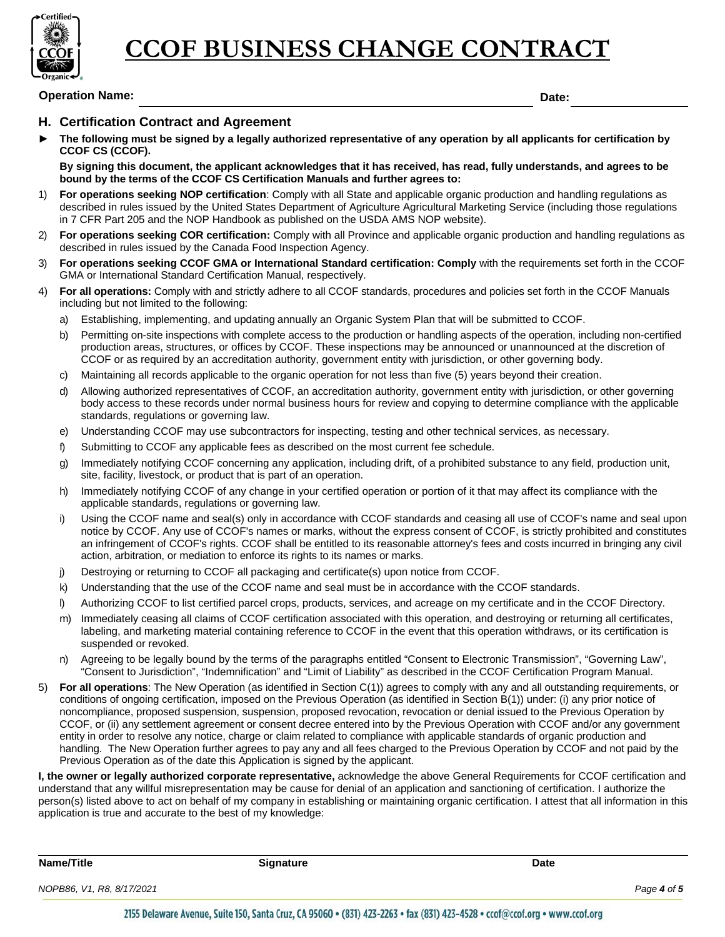

### **Operation Name: Date:**

#### **H. Certification Contract and Agreement**

The following must be signed by a legally authorized representative of any operation by all applicants for certification by **CCOF CS (CCOF).** 

**By signing this document, the applicant acknowledges that it has received, has read, fully understands, and agrees to be bound by the terms of the CCOF CS Certification Manuals and further agrees to:**

- 1) **For operations seeking NOP certification**: Comply with all State and applicable organic production and handling regulations as described in rules issued by the United States Department of Agriculture Agricultural Marketing Service (including those regulations in 7 CFR Part 205 and the NOP Handbook as published on the USDA AMS NOP website).
- 2) **For operations seeking COR certification:** Comply with all Province and applicable organic production and handling regulations as described in rules issued by the Canada Food Inspection Agency.
- 3) **For operations seeking CCOF GMA or International Standard certification: Comply** with the requirements set forth in the CCOF GMA or International Standard Certification Manual, respectively.
- 4) **For all operations:** Comply with and strictly adhere to all CCOF standards, procedures and policies set forth in the CCOF Manuals including but not limited to the following:
	- a) Establishing, implementing, and updating annually an Organic System Plan that will be submitted to CCOF.
	- b) Permitting on-site inspections with complete access to the production or handling aspects of the operation, including non-certified production areas, structures, or offices by CCOF. These inspections may be announced or unannounced at the discretion of CCOF or as required by an accreditation authority, government entity with jurisdiction, or other governing body.
	- c) Maintaining all records applicable to the organic operation for not less than five (5) years beyond their creation.
	- d) Allowing authorized representatives of CCOF, an accreditation authority, government entity with jurisdiction, or other governing body access to these records under normal business hours for review and copying to determine compliance with the applicable standards, regulations or governing law.
	- e) Understanding CCOF may use subcontractors for inspecting, testing and other technical services, as necessary.
	- f) Submitting to CCOF any applicable fees as described on the most current fee schedule.
	- g) Immediately notifying CCOF concerning any application, including drift, of a prohibited substance to any field, production unit, site, facility, livestock, or product that is part of an operation.
	- h) Immediately notifying CCOF of any change in your certified operation or portion of it that may affect its compliance with the applicable standards, regulations or governing law.
	- i) Using the CCOF name and seal(s) only in accordance with CCOF standards and ceasing all use of CCOF's name and seal upon notice by CCOF. Any use of CCOF's names or marks, without the express consent of CCOF, is strictly prohibited and constitutes an infringement of CCOF's rights. CCOF shall be entitled to its reasonable attorney's fees and costs incurred in bringing any civil action, arbitration, or mediation to enforce its rights to its names or marks.
	- j) Destroying or returning to CCOF all packaging and certificate(s) upon notice from CCOF.
	- k) Understanding that the use of the CCOF name and seal must be in accordance with the CCOF standards.
	- l) Authorizing CCOF to list certified parcel crops, products, services, and acreage on my certificate and in the CCOF Directory.
	- m) Immediately ceasing all claims of CCOF certification associated with this operation, and destroying or returning all certificates, labeling, and marketing material containing reference to CCOF in the event that this operation withdraws, or its certification is suspended or revoked.
	- n) Agreeing to be legally bound by the terms of the paragraphs entitled "Consent to Electronic Transmission", "Governing Law", "Consent to Jurisdiction", "Indemnification" and "Limit of Liability" as described in the CCOF Certification Program Manual.
- 5) **For all operations**: The New Operation (as identified in Section C(1)) agrees to comply with any and all outstanding requirements, or conditions of ongoing certification, imposed on the Previous Operation (as identified in Section B(1)) under: (i) any prior notice of noncompliance, proposed suspension, suspension, proposed revocation, revocation or denial issued to the Previous Operation by CCOF, or (ii) any settlement agreement or consent decree entered into by the Previous Operation with CCOF and/or any government entity in order to resolve any notice, charge or claim related to compliance with applicable standards of organic production and handling. The New Operation further agrees to pay any and all fees charged to the Previous Operation by CCOF and not paid by the Previous Operation as of the date this Application is signed by the applicant.

**I, the owner or legally authorized corporate representative,** acknowledge the above General Requirements for CCOF certification and understand that any willful misrepresentation may be cause for denial of an application and sanctioning of certification. I authorize the person(s) listed above to act on behalf of my company in establishing or maintaining organic certification. I attest that all information in this application is true and accurate to the best of my knowledge:

| Name/Title                | <b>Signature</b>                                                                                                          | Date |             |
|---------------------------|---------------------------------------------------------------------------------------------------------------------------|------|-------------|
| NOPB86, V1, R8, 8/17/2021 |                                                                                                                           |      | Page 4 of 5 |
|                           | 2155 Delaware Avenue, Suite 150, Santa Cruz, CA 05060 + (021) 427-2267 + fax (021) 427-4520 + confriend are + www.confrom |      |             |